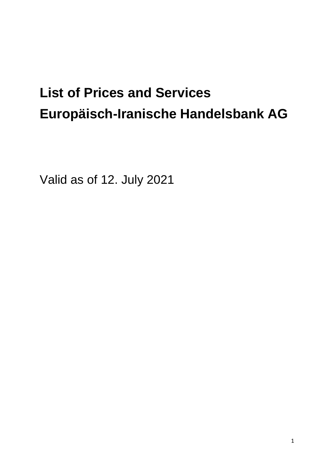# **List of Prices and Services Europäisch-Iranische Handelsbank AG**

Valid as of 12. July 2021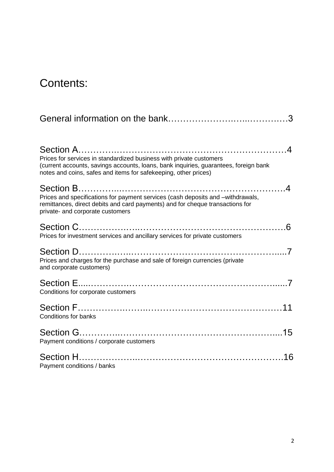## Contents:

| Prices for services in standardized business with private customers<br>(current accounts, savings accounts, loans, bank inquiries, guarantees, foreign bank<br>notes and coins, safes and items for safekeeping, other prices)             |
|--------------------------------------------------------------------------------------------------------------------------------------------------------------------------------------------------------------------------------------------|
| Section B………………………………………………………………4<br>Prices and specifications for payment services (cash deposits and -withdrawals,<br>remittances, direct debits and card payments) and for cheque transactions for<br>private- and corporate customers |
| Prices for investment services and ancillary services for private customers                                                                                                                                                                |
| Prices and charges for the purchase and sale of foreign currencies (private<br>and corporate customers)                                                                                                                                    |
| Conditions for corporate customers                                                                                                                                                                                                         |
| <b>Conditions for banks</b>                                                                                                                                                                                                                |
| Payment conditions / corporate customers                                                                                                                                                                                                   |
| Payment conditions / banks                                                                                                                                                                                                                 |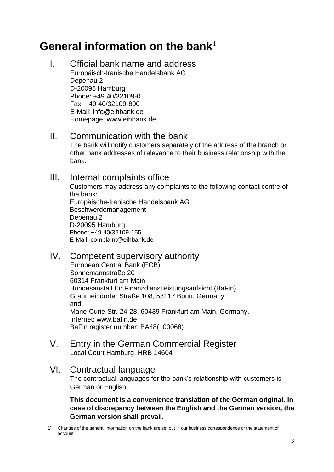## **General information on the bank<sup>1</sup>**

I. Official bank name and address Europäisch-Iranische Handelsbank AG Depenau 2 D-20095 Hamburg Phone: +49 40/32109-0 Fax: +49 40/32109-890 E-Mail: info@eihbank.de Homepage: www.eihbank.de

#### II. Communication with the bank

The bank will notify customers separately of the address of the branch or other bank addresses of relevance to their business relationship with the bank.

#### III. Internal complaints office

Customers may address any complaints to the following contact centre of the bank: Europäische-Iranische Handelsbank AG Beschwerdemanagement Depenau 2 D-20095 Hamburg Phone: +49 40/32109-155 E-Mail: [complaint@eihbank.de](mailto:complaint@eihbank.de)

#### IV. Competent supervisory authority

European Central Bank (ECB) Sonnemannstraße 20 60314 Frankfurt am Main Bundesanstalt für Finanzdienstleistungsaufsicht (BaFin), Graurheindorfer Straße 108, 53117 Bonn, Germany. and Marie-Curie-Str. 24-28, 60439 Frankfurt am Main, Germany. Internet: www.bafin.de BaFin register number: BA48(100068)

#### V. Entry in the German Commercial Register Local Court Hamburg, HRB 14604

#### VI. Contractual language

The contractual languages for the bank's relationship with customers is German or English.

**This document is a convenience translation of the German original. In case of discrepancy between the English and the German version, the German version shall prevail.**

1) Changes of the general information on the bank are set out in our business correspondence or the statement of account.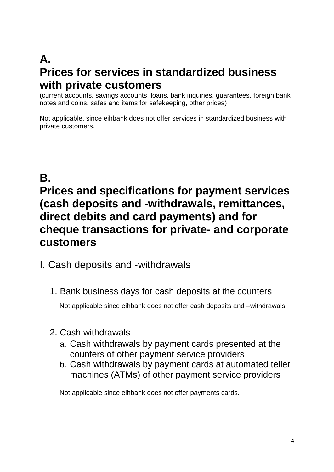# **A. Prices for services in standardized business with private customers**

(current accounts, savings accounts, loans, bank inquiries, guarantees, foreign bank notes and coins, safes and items for safekeeping, other prices)

Not applicable, since eihbank does not offer services in standardized business with private customers.

# **B.**

# **Prices and specifications for payment services (cash deposits and -withdrawals, remittances, direct debits and card payments) and for cheque transactions for private- and corporate customers**

- I. Cash deposits and -withdrawals
	- 1. Bank business days for cash deposits at the counters

Not applicable since eihbank does not offer cash deposits and –withdrawals

- 2. Cash withdrawals
	- a. Cash withdrawals by payment cards presented at the counters of other payment service providers
	- b. Cash withdrawals by payment cards at automated teller machines (ATMs) of other payment service providers

Not applicable since eihbank does not offer payments cards.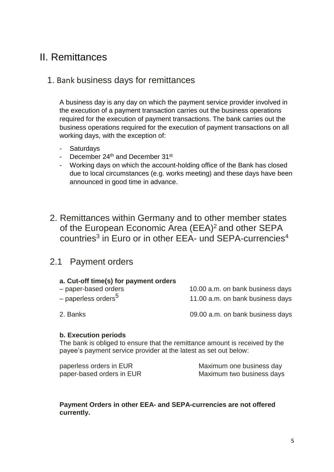#### II. Remittances

#### 1. Bank business days for remittances

A business day is any day on which the payment service provider involved in the execution of a payment transaction carries out the business operations required for the execution of payment transactions. The bank carries out the business operations required for the execution of payment transactions on all working days, with the exception of:

- Saturdays
- December  $24<sup>th</sup>$  and December  $31<sup>st</sup>$
- Working days on which the account-holding office of the Bank has closed due to local circumstances (e.g. works meeting) and these days have been announced in good time in advance.
- 2. Remittances within Germany and to other member states of the European Economic Area (EEA)<sup>2</sup> and other SEPA countries<sup>3</sup> in Euro or in other EEA- und SEPA-currencies<sup>4</sup>

#### 2.1 Payment orders

#### **a. Cut-off time(s) for payment orders**

| .<br>– paper-based orders       | 10.00 a.m. on bank business days |
|---------------------------------|----------------------------------|
| – paperless orders <sup>5</sup> | 11.00 a.m. on bank business days |

2. Banks 09.00 a.m. on bank business days

#### **b. Execution periods**

The bank is obliged to ensure that the remittance amount is received by the payee's payment service provider at the latest as set out below:

| paperless orders in EUR   |  |
|---------------------------|--|
| paper-based orders in EUR |  |

Maximum one business day Maximum two business days

#### **Payment Orders in other EEA- and SEPA-currencies are not offered currently.**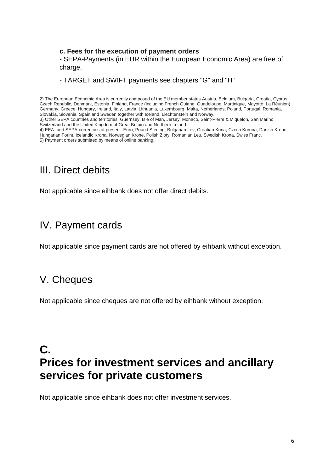#### **c. Fees for the execution of payment orders**

- SEPA-Payments (in EUR within the European Economic Area) are free of charge.

#### - TARGET and SWIFT payments see chapters "G" and "H"

2) The European Economic Area is currently composed of the EU member states Austria, Belgium, Bulgaria, Croatia, Cyprus, Czech Republic, Denmark, Estonia, Finland, France (including French Guiana, Guadeloupe, Martinique, Mayotte, La Réunion), Germany, Greece, Hungary, Ireland, Italy, Latvia, Lithuania, Luxembourg, Malta, Netherlands, Poland, Portugal, Romania, Slovakia, Slovenia, Spain and Sweden together with Iceland, Liechtenstein and Norway. 3) Other SEPA countries and territories: Guernsey, Isle of Man, Jersey, Monaco, Saint-Pierre & Miquelon, San Marino, Switzerland and the United Kingdom of Great Britain and Northern Ireland.

#### III. Direct debits

Not applicable since eihbank does not offer direct debits.

#### IV. Payment cards

Not applicable since payment cards are not offered by eihbank without exception.

#### V. Cheques

Not applicable since cheques are not offered by eihbank without exception.

# **C. Prices for investment services and ancillary services for private customers**

Not applicable since eihbank does not offer investment services.

<sup>4)</sup> EEA- and SEPA-currencies at present: Euro, Pound Sterling, Bulgarian Lev, Croatian Kuna, Czech Koruna, Danish Krone, Hungarian Forint, Icelandic Krona, Norwegian Krone, Polish Zloty, Romanian Leu, Swedish Krona, Swiss Franc. 5) Payment orders submitted by means of online banking.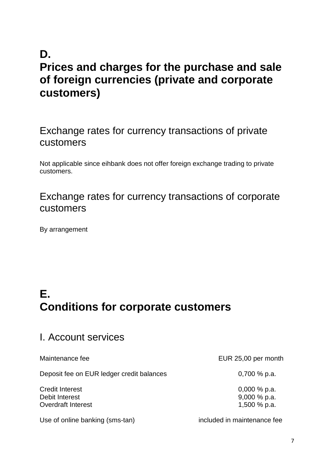# **D. Prices and charges for the purchase and sale of foreign currencies (private and corporate customers)**

#### Exchange rates for currency transactions of private customers

Not applicable since eihbank does not offer foreign exchange trading to private customers.

#### Exchange rates for currency transactions of corporate customers

By arrangement

# **E. Conditions for corporate customers**

#### I. Account services

Deposit fee on EUR ledger credit balances 0,700 % p.a.

Credit Interest 0,000 % p.a. Debit Interest 9,000 % p.a. Overdraft Interest 200 % p.a.

Use of online banking (sms-tan) included in maintenance fee

Maintenance fee EUR 25,00 per month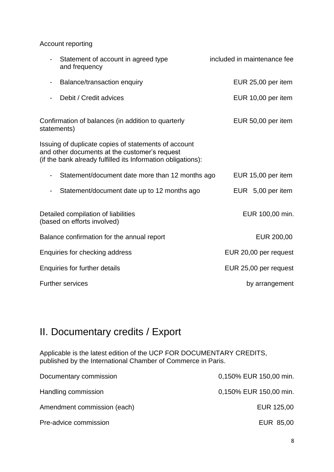Account reporting

| Statement of account in agreed type<br>and frequency                                                                                                                  | included in maintenance fee |
|-----------------------------------------------------------------------------------------------------------------------------------------------------------------------|-----------------------------|
| Balance/transaction enquiry                                                                                                                                           | EUR 25,00 per item          |
| Debit / Credit advices                                                                                                                                                | EUR 10,00 per item          |
| Confirmation of balances (in addition to quarterly<br>statements)                                                                                                     | EUR 50,00 per item          |
| Issuing of duplicate copies of statements of account<br>and other documents at the customer's request<br>(if the bank already fulfilled its Information obligations): |                             |
| Statement/document date more than 12 months ago                                                                                                                       | EUR 15,00 per item          |
| Statement/document date up to 12 months ago                                                                                                                           | EUR 5,00 per item           |
| Detailed compilation of liabilities<br>(based on efforts involved)                                                                                                    | EUR 100,00 min.             |
| Balance confirmation for the annual report                                                                                                                            | EUR 200,00                  |
| Enquiries for checking address                                                                                                                                        | EUR 20,00 per request       |
| <b>Enquiries for further details</b>                                                                                                                                  | EUR 25,00 per request       |
| <b>Further services</b>                                                                                                                                               | by arrangement              |

### II. Documentary credits / Export

Applicable is the latest edition of the UCP FOR DOCUMENTARY CREDITS, published by the International Chamber of Commerce in Paris.

| Documentary commission      | 0,150% EUR 150,00 min. |
|-----------------------------|------------------------|
| Handling commission         | 0,150% EUR 150,00 min. |
| Amendment commission (each) | EUR 125,00             |
| Pre-advice commission       | EUR 85,00              |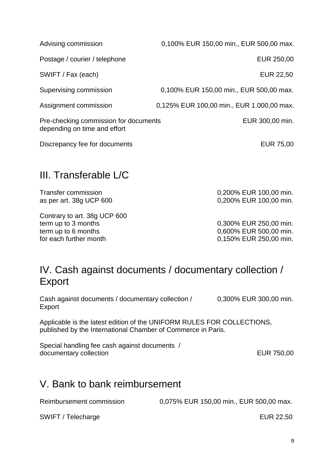Postage / courier / telephone **EUR** 250,00

SWIFT / Fax (each) EUR 22,50

Advising commission 0,100% EUR 150,00 min., EUR 500,00 max.

Supervising commission 0,100% EUR 150,00 min., EUR 500,00 max.

Assignment commission 0,125% EUR 100,00 min., EUR 1.000,00 max.

Pre-checking commission for documents **EUR** 300,00 min. depending on time and effort

Discrepancy fee for documents EUR 75,00

### III. Transferable L/C

Contrary to art. 38g UCP 600 term up to 3 months 6.000 min. term up to 6 months 6000 to 6 months 6000 to 500,000 min. for each further month 0,150% EUR 250,00 min.

Transfer commission 0,200% EUR 100,00 min. as per art. 38g UCP 600 0,200% EUR 100,00 min.

### IV. Cash against documents / documentary collection / Export

Cash against documents / documentary collection / 0,300% EUR 300,00 min. Export

Applicable is the latest edition of the UNIFORM RULES FOR COLLECTIONS, published by the International Chamber of Commerce in Paris.

Special handling fee cash against documents / documentary collection extensive that the extensive EUR 750,00

### V. Bank to bank reimbursement

Reimbursement commission 0,075% EUR 150,00 min., EUR 500,00 max.

SWIFT / Telecharge **EUR 22,50**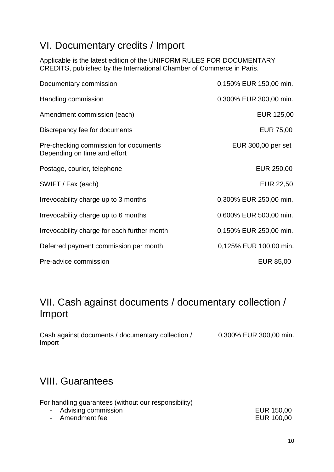#### VI. Documentary credits / Import

Applicable is the latest edition of the UNIFORM RULES FOR DOCUMENTARY CREDITS, published by the International Chamber of Commerce in Paris.

| Documentary commission                                                | 0,150% EUR 150,00 min. |
|-----------------------------------------------------------------------|------------------------|
| Handling commission                                                   | 0,300% EUR 300,00 min. |
| Amendment commission (each)                                           | EUR 125,00             |
| Discrepancy fee for documents                                         | <b>EUR 75,00</b>       |
| Pre-checking commission for documents<br>Depending on time and effort | EUR 300,00 per set     |
| Postage, courier, telephone                                           | EUR 250,00             |
| SWIFT / Fax (each)                                                    | <b>EUR 22,50</b>       |
| Irrevocability charge up to 3 months                                  | 0,300% EUR 250,00 min. |
| Irrevocability charge up to 6 months                                  | 0,600% EUR 500,00 min. |
| Irrevocability charge for each further month                          | 0,150% EUR 250,00 min. |
| Deferred payment commission per month                                 | 0,125% EUR 100,00 min. |
| Pre-advice commission                                                 | EUR 85,00              |

### VII. Cash against documents / documentary collection / Import

Cash against documents / documentary collection / 0,300% EUR 300,00 min. Import

### VIII. Guarantees

| For handling guarantees (without our responsibility) |            |
|------------------------------------------------------|------------|
| - Advising commission                                | EUR 150,00 |
| - Amendment fee                                      | EUR 100,00 |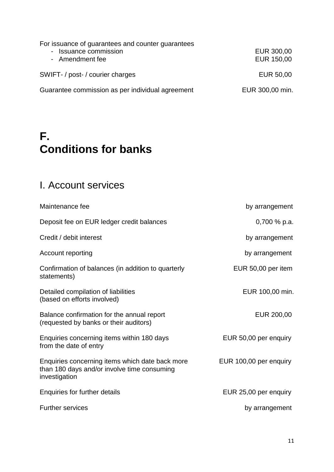For issuance of guarantees and counter guarantees - Issuance commission **EUR** 300,00 - Amendment fee EUR 150,00 SWIFT- / post- / courier charges extending the state of the EUR 50,00 Guarantee commission as per individual agreement EUR 300,00 min.

# **F. Conditions for banks**

### I. Account services

| Maintenance fee                                                                                                 | by arrangement         |
|-----------------------------------------------------------------------------------------------------------------|------------------------|
| Deposit fee on EUR ledger credit balances                                                                       | $0,700\%$ p.a.         |
| Credit / debit interest                                                                                         | by arrangement         |
| Account reporting                                                                                               | by arrangement         |
| Confirmation of balances (in addition to quarterly<br>statements)                                               | EUR 50,00 per item     |
| Detailed compilation of liabilities<br>(based on efforts involved)                                              | EUR 100,00 min.        |
| Balance confirmation for the annual report<br>(requested by banks or their auditors)                            | EUR 200,00             |
| Enquiries concerning items within 180 days<br>from the date of entry                                            | EUR 50,00 per enquiry  |
| Enquiries concerning items which date back more<br>than 180 days and/or involve time consuming<br>investigation | EUR 100,00 per enquiry |
| Enquiries for further details                                                                                   | EUR 25,00 per enquiry  |
| <b>Further services</b>                                                                                         | by arrangement         |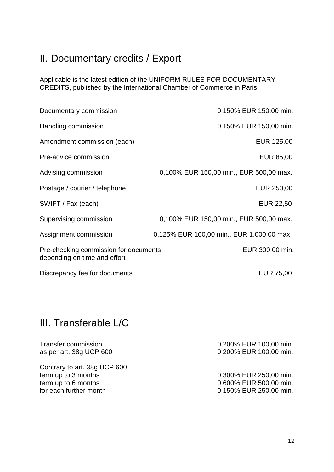## II. Documentary credits / Export

Applicable is the latest edition of the UNIFORM RULES FOR DOCUMENTARY CREDITS, published by the International Chamber of Commerce in Paris.

| Documentary commission                                                | 0,150% EUR 150,00 min.                    |
|-----------------------------------------------------------------------|-------------------------------------------|
| Handling commission                                                   | 0,150% EUR 150,00 min.                    |
| Amendment commission (each)                                           | EUR 125,00                                |
| Pre-advice commission                                                 | EUR 85,00                                 |
| Advising commission                                                   | 0,100% EUR 150,00 min., EUR 500,00 max.   |
| Postage / courier / telephone                                         | EUR 250,00                                |
| SWIFT / Fax (each)                                                    | EUR 22,50                                 |
| Supervising commission                                                | 0,100% EUR 150,00 min., EUR 500,00 max.   |
| Assignment commission                                                 | 0,125% EUR 100,00 min., EUR 1.000,00 max. |
| Pre-checking commission for documents<br>depending on time and effort | EUR 300,00 min.                           |
| Discrepancy fee for documents                                         | <b>EUR 75,00</b>                          |

### III. Transferable L/C

| Transfer commission<br>as per art. 38g UCP 600 | 0,200% EUR 100,00 min.<br>0,200% EUR 100,00 min. |
|------------------------------------------------|--------------------------------------------------|
| Contrary to art. 38g UCP 600                   |                                                  |
| term up to 3 months                            | 0,300% EUR 250,00 min.                           |
| term up to 6 months                            | 0,600% EUR 500,00 min.                           |
| for each further month                         | 0,150% EUR 250,00 min.                           |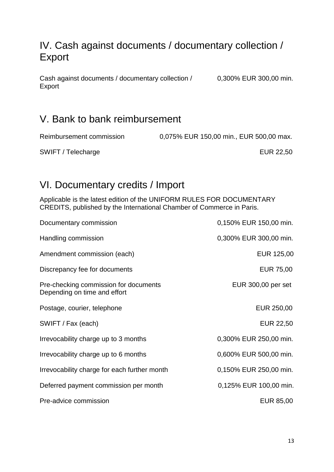#### IV. Cash against documents / documentary collection / Export

Cash against documents / documentary collection / 0,300% EUR 300,00 min. Export

#### V. Bank to bank reimbursement

Reimbursement commission 0,075% EUR 150,00 min., EUR 500,00 max.

SWIFT / Telecharge **EUR 22,50** 

### VI. Documentary credits / Import

Applicable is the latest edition of the UNIFORM RULES FOR DOCUMENTARY CREDITS, published by the International Chamber of Commerce in Paris.

| Documentary commission                                                | 0,150% EUR 150,00 min. |
|-----------------------------------------------------------------------|------------------------|
| Handling commission                                                   | 0,300% EUR 300,00 min. |
| Amendment commission (each)                                           | EUR 125,00             |
| Discrepancy fee for documents                                         | <b>EUR 75,00</b>       |
| Pre-checking commission for documents<br>Depending on time and effort | EUR 300,00 per set     |
| Postage, courier, telephone                                           | EUR 250,00             |
| SWIFT / Fax (each)                                                    | <b>EUR 22,50</b>       |
| Irrevocability charge up to 3 months                                  | 0,300% EUR 250,00 min. |
| Irrevocability charge up to 6 months                                  | 0,600% EUR 500,00 min. |
| Irrevocability charge for each further month                          | 0,150% EUR 250,00 min. |
| Deferred payment commission per month                                 | 0,125% EUR 100,00 min. |
| Pre-advice commission                                                 | EUR 85,00              |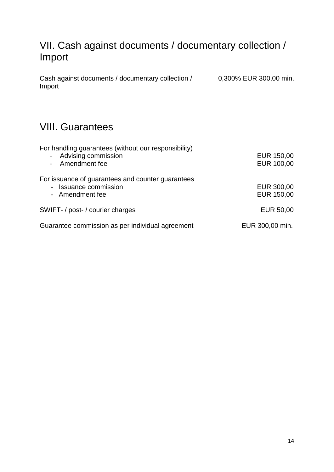#### VII. Cash against documents / documentary collection / Import

Cash against documents / documentary collection / 0,300% EUR 300,00 min. Import

#### VIII. Guarantees

| For handling guarantees (without our responsibility)<br>- Advising commission<br>- Amendment fee | EUR 150,00<br>EUR 100,00 |
|--------------------------------------------------------------------------------------------------|--------------------------|
| For issuance of guarantees and counter guarantees<br>- Issuance commission<br>- Amendment fee    | EUR 300,00<br>EUR 150,00 |
| SWIFT- / post- / courier charges                                                                 | EUR 50,00                |
| Guarantee commission as per individual agreement                                                 | EUR 300,00 min.          |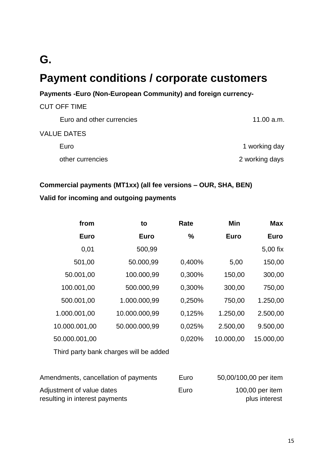### **G.**

# **Payment conditions / corporate customers**

#### **Payments -Euro (Non-European Community) and foreign currency-**

| 11.00 a.m.     |
|----------------|
|                |
| 1 working day  |
| 2 working days |
|                |

#### **Commercial payments (MT1xx) (all fee versions – OUR, SHA, BEN)**

#### **Valid for incoming and outgoing payments**

| from                                 | to                                     | Rate   | Min         | <b>Max</b>            |
|--------------------------------------|----------------------------------------|--------|-------------|-----------------------|
| <b>Euro</b>                          | <b>Euro</b>                            | %      | <b>Euro</b> | <b>Euro</b>           |
| 0,01                                 | 500,99                                 |        |             | 5,00 fix              |
| 501,00                               | 50.000,99                              | 0,400% | 5,00        | 150,00                |
| 50.001,00                            | 100.000,99                             | 0,300% | 150,00      | 300,00                |
| 100.001,00                           | 500.000,99                             | 0,300% | 300,00      | 750,00                |
| 500.001,00                           | 1.000.000,99                           | 0,250% | 750,00      | 1.250,00              |
| 1.000.001,00                         | 10.000.000,99                          | 0,125% | 1.250,00    | 2.500,00              |
| 10.000.001,00                        | 50.000.000,99                          | 0,025% | 2.500,00    | 9.500,00              |
| 50.000.001,00                        |                                        | 0,020% | 10.000,00   | 15.000,00             |
|                                      | Third party bank charges will be added |        |             |                       |
| Amendments, cancellation of payments |                                        | Euro   |             | 50,00/100,00 per item |
| Adjustment of value dates            |                                        | Euro   |             | 100,00 per item       |

resulting in interest payments **plus** interest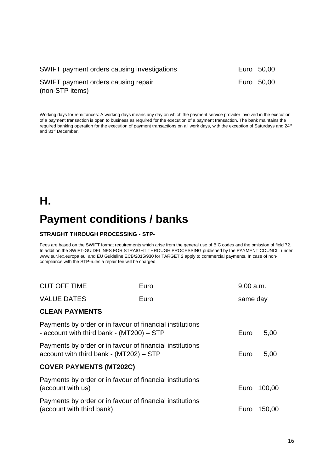| SWIFT payment orders causing investigations            | Euro 50,00 |
|--------------------------------------------------------|------------|
| SWIFT payment orders causing repair<br>(non-STP items) | Euro 50,00 |

Working days for remittances: A working days means any day on which the payment service provider involved in the execution of a payment transaction is open to business as required for the execution of a payment transaction. The bank maintains the required banking operation for the execution of payment transactions on all work days, with the exception of Saturdays and 24th and 31<sup>st</sup> December.

#### **H.**

# **Payment conditions / banks**

#### **STRAIGHT THROUGH PROCESSING - STP-**

Fees are based on the SWIFT format requirements which arise from the general use of BIC codes and the omission of field 72. In addition the SWIFT-GUIDELINES FOR STRAIGHT THROUGH PROCESSING published by the PAYMENT COUNCIL under www.eur.lex.europa.eu and EU Guideline ECB/2015/930 for TARGET 2 apply to commercial payments. In case of noncompliance with the STP-rules a repair fee will be charged.

| <b>CUT OFF TIME</b>                                                                                   | Euro | 9.00 a.m. |        |
|-------------------------------------------------------------------------------------------------------|------|-----------|--------|
| <b>VALUE DATES</b><br>Euro                                                                            |      | same day  |        |
| <b>CLEAN PAYMENTS</b>                                                                                 |      |           |        |
| Payments by order or in favour of financial institutions<br>- account with third bank - (MT200) - STP |      | Euro      | 5,00   |
| Payments by order or in favour of financial institutions<br>account with third bank - (MT202) - STP   |      |           | 5,00   |
| <b>COVER PAYMENTS (MT202C)</b>                                                                        |      |           |        |
| Payments by order or in favour of financial institutions<br>(account with us)                         |      | Euro      | 100,00 |
| Payments by order or in favour of financial institutions<br>(account with third bank)                 |      | Euro      | 150,00 |